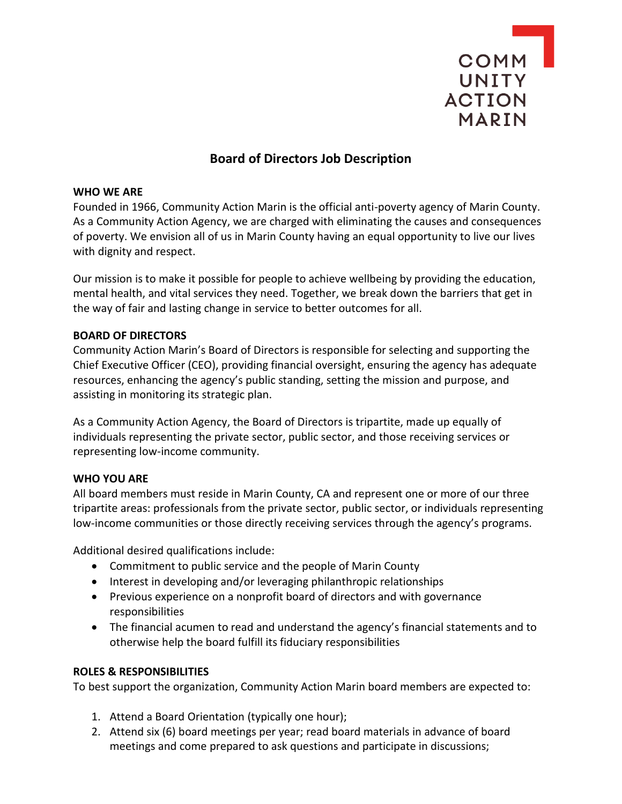

# **Board of Directors Job Description**

#### **WHO WE ARE**

Founded in 1966, Community Action Marin is the official anti-poverty agency of Marin County. As a Community Action Agency, we are charged with eliminating the causes and consequences of poverty. We envision all of us in Marin County having an equal opportunity to live our lives with dignity and respect.

Our mission is to make it possible for people to achieve wellbeing by providing the education, mental health, and vital services they need. Together, we break down the barriers that get in the way of fair and lasting change in service to better outcomes for all.

### **BOARD OF DIRECTORS**

Community Action Marin's Board of Directors is responsible for selecting and supporting the Chief Executive Officer (CEO), providing financial oversight, ensuring the agency has adequate resources, enhancing the agency's public standing, setting the mission and purpose, and assisting in monitoring its strategic plan.

As a Community Action Agency, the Board of Directors is tripartite, made up equally of individuals representing the private sector, public sector, and those receiving services or representing low-income community.

#### **WHO YOU ARE**

All board members must reside in Marin County, CA and represent one or more of our three tripartite areas: professionals from the private sector, public sector, or individuals representing low-income communities or those directly receiving services through the agency's programs.

Additional desired qualifications include:

- Commitment to public service and the people of Marin County
- Interest in developing and/or leveraging philanthropic relationships
- Previous experience on a nonprofit board of directors and with governance responsibilities
- The financial acumen to read and understand the agency's financial statements and to otherwise help the board fulfill its fiduciary responsibilities

## **ROLES & RESPONSIBILITIES**

To best support the organization, Community Action Marin board members are expected to:

- 1. Attend a Board Orientation (typically one hour);
- 2. Attend six (6) board meetings per year; read board materials in advance of board meetings and come prepared to ask questions and participate in discussions;